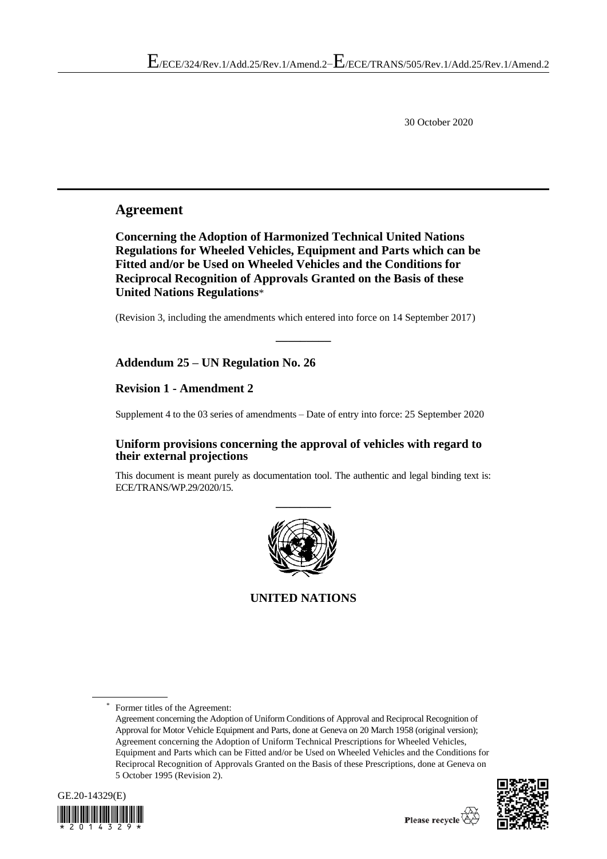30 October 2020

## **Agreement**

**Concerning the Adoption of Harmonized Technical United Nations Regulations for Wheeled Vehicles, Equipment and Parts which can be Fitted and/or be Used on Wheeled Vehicles and the Conditions for Reciprocal Recognition of Approvals Granted on the Basis of these United Nations Regulations**\*

(Revision 3, including the amendments which entered into force on 14 September 2017)

**\_\_\_\_\_\_\_\_\_**

## **Addendum 25 – UN Regulation No. 26**

## **Revision 1 - Amendment 2**

Supplement 4 to the 03 series of amendments – Date of entry into force: 25 September 2020

## **Uniform provisions concerning the approval of vehicles with regard to their external projections**

This document is meant purely as documentation tool. The authentic and legal binding text is: ECE/TRANS/WP.29/2020/15.



**UNITED NATIONS**

Former titles of the Agreement:

Agreement concerning the Adoption of Uniform Conditions of Approval and Reciprocal Recognition of Approval for Motor Vehicle Equipment and Parts, done at Geneva on 20 March 1958 (original version); Agreement concerning the Adoption of Uniform Technical Prescriptions for Wheeled Vehicles, Equipment and Parts which can be Fitted and/or be Used on Wheeled Vehicles and the Conditions for Reciprocal Recognition of Approvals Granted on the Basis of these Prescriptions, done at Geneva on 5 October 1995 (Revision 2).